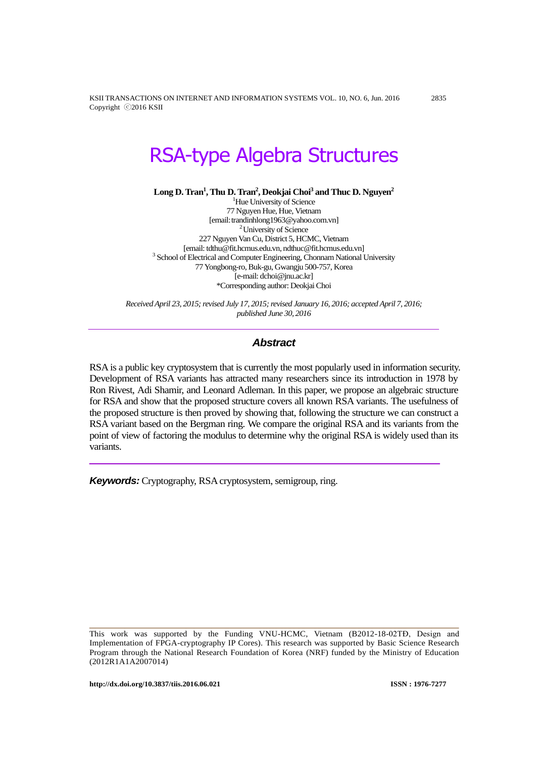KSII TRANSACTIONS ON INTERNET AND INFORMATION SYSTEMS VOL. 10, NO. 6, Jun. 2016 2835 Copyright ⓒ2016 KSII

# RSA-type Algebra Structures

**Long D. Tran<sup>1</sup> , Thu D. Tran<sup>2</sup> , Deokjai Choi<sup>3</sup> and Thuc D. Nguyen<sup>2</sup>**

<sup>1</sup>Hue University of Science 77 Nguyen Hue, Hue, Vietnam [email: trandinhlong1963@yahoo.com.vn] <sup>2</sup> University of Science 227 Nguyen Van Cu, District 5, HCMC, Vietnam [email: tdthu@fit.hcmus.edu.vn, ndthuc@fit.hcmus.edu.vn] <sup>3</sup> School of Electrical and Computer Engineering, Chonnam National University 77 Yongbong-ro, Buk-gu, Gwangju 500-757, Korea [e-mail: dchoi@jnu.ac.kr] \*Corresponding author: Deokjai Choi

*Received April 23, 2015; revised July 17, 2015; revised January 16, 2016; accepted April 7, 2016; published June 30, 2016*

# *Abstract*

RSA is a public key cryptosystem that is currently the most popularly used in information security. Development of RSA variants has attracted many researchers since its introduction in 1978 by Ron Rivest, Adi Shamir, and Leonard Adleman. In this paper, we propose an algebraic structure for RSA and show that the proposed structure covers all known RSA variants. The usefulness of the proposed structure is then proved by showing that, following the structure we can construct a RSA variant based on the Bergman ring. We compare the original RSA and its variants from the point of view of factoring the modulus to determine why the original RSA is widely used than its variants.

*Keywords:* Cryptography, RSA cryptosystem, semigroup, ring.

This work was supported by the Funding VNU-HCMC, Vietnam (B2012-18-02TĐ, Design and Implementation of FPGA-cryptography IP Cores). This research was supported by Basic Science Research Program through the National Research Foundation of Korea (NRF) funded by the Ministry of Education (2012R1A1A2007014)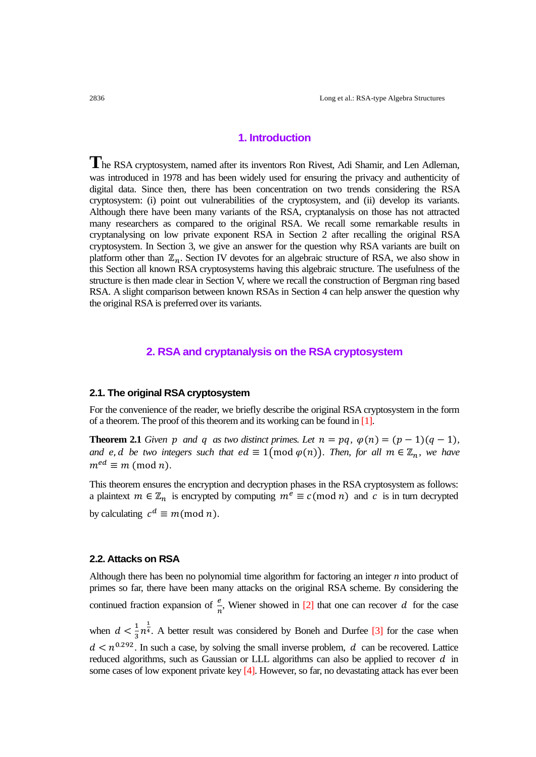# **1. Introduction**

**T**he RSA cryptosystem, named after its inventors Ron Rivest, Adi Shamir, and Len Adleman, was introduced in 1978 and has been widely used for ensuring the privacy and authenticity of digital data. Since then, there has been concentration on two trends considering the RSA cryptosystem: (i) point out vulnerabilities of the cryptosystem, and (ii) develop its variants. Although there have been many variants of the RSA, cryptanalysis on those has not attracted many researchers as compared to the original RSA. We recall some remarkable results in cryptanalysing on low private exponent RSA in Section 2 after recalling the original RSA cryptosystem. In Section 3, we give an answer for the question why RSA variants are built on platform other than  $\mathbb{Z}_n$ . Section IV devotes for an algebraic structure of RSA, we also show in this Section all known RSA cryptosystems having this algebraic structure. The usefulness of the structure is then made clear in Section V, where we recall the construction of Bergman ring based RSA. A slight comparison between known RSAs in Section 4 can help answer the question why the original RSA is preferred over its variants.

# **2. RSA and cryptanalysis on the RSA cryptosystem**

#### **2.1. The original RSA cryptosystem**

For the convenience of the reader, we briefly describe the original RSA cryptosystem in the form of a theorem. The proof of this theorem and its working can be found in [1].

**Theorem 2.1** *Given p and q as two distinct primes. Let*  $n = pq$ ,  $\varphi(n) = (p - 1)(q - 1)$ , *and e, d be two integers such that ed*  $\equiv 1 \pmod{\varphi(n)}$ *. Then, for all m*  $\in \mathbb{Z}_n$ *, we have*  $m^{ed} \equiv m \pmod{n}$ .

This theorem ensures the encryption and decryption phases in the RSA cryptosystem as follows: a plaintext  $m \in \mathbb{Z}_n$  is encrypted by computing  $m^e \equiv c \pmod{n}$  and c is in turn decrypted by calculating  $c^d \equiv m \pmod{n}$ .

# **2.2. Attacks on RSA**

Although there has been no polynomial time algorithm for factoring an integer *n* into product of primes so far, there have been many attacks on the original RSA scheme. By considering the continued fraction expansion of  $\frac{e}{n}$ , Wiener showed in [2] that one can recover d for the case when  $d < \frac{1}{2}$  $\frac{1}{3}n^{\frac{1}{4}}$ . A better result was considered by Boneh and Durfee [3] for the case when  $d < n^{0.292}$ . In such a case, by solving the small inverse problem, d can be recovered. Lattice reduced algorithms, such as Gaussian or LLL algorithms can also be applied to recover  $d$  in some cases of low exponent private key [4]. However, so far, no devastating attack has ever been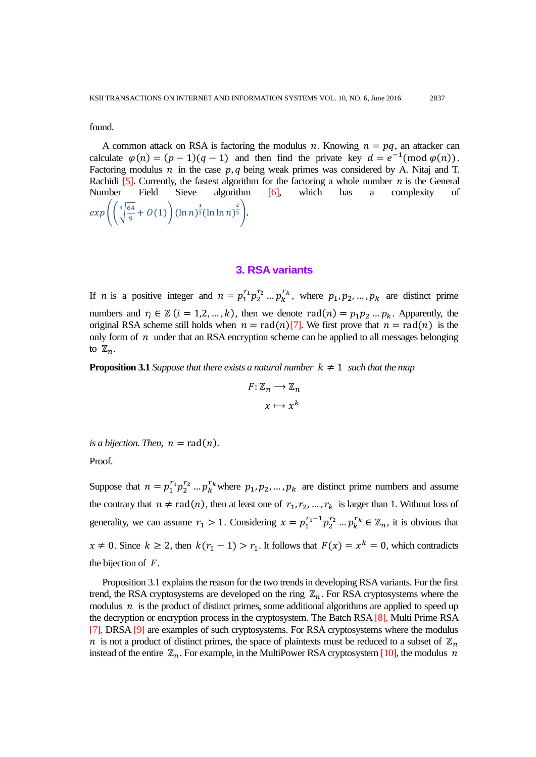found.

A common attack on RSA is factoring the modulus n. Knowing  $n = pq$ , an attacker can calculate  $\varphi(n) = (p-1)(q-1)$  and then find the private key  $d = e^{-1}(\text{mod } \varphi(n))$ . Factoring modulus  $n$  in the case  $p, q$  being weak primes was considered by A. Nitaj and T. Rachidi [5]. Currently, the fastest algorithm for the factoring a whole number  $n$  is the General Number Field Sieve algorithm [6], which has a complexity of  $exp\left(\frac{3}{2}\right)^6$ 9  $\frac{1}{2} \left( \frac{64}{0} + O(1) \right) (\ln n)^{\frac{1}{3}}$ 3  $rac{2}{3}$ .

# **3. RSA variants**

If *n* is a positive integer and  $n = p_1^{r_1} p_2^{r_2} \dots p_k^{r_k}$ , where  $p_1, p_2, \dots, p_k$  are distinct prime numbers and  $r_i \in \mathbb{Z}$   $(i = 1, 2, ..., k)$ , then we denote  $rad(n) = p_1 p_2 ... p_k$ . Apparently, the original RSA scheme still holds when  $n = rad(n)[7]$ . We first prove that  $n = rad(n)$  is the only form of  $n$  under that an RSA encryption scheme can be applied to all messages belonging to  $\mathbb{Z}_n$ .

**Proposition 3.1** *Suppose that there exists a natural number*  $k \neq 1$  *such that the map* 

$$
F: \mathbb{Z}_n \longrightarrow \mathbb{Z}_n
$$

$$
x \longmapsto x^k
$$

*is a bijection. Then,*  $n = rad(n)$ .

Proof.

Suppose that  $n = p_1^{r_1} p_2^{r_2} ... p_k^{r_k}$  where  $p_1, p_2, ..., p_k$  are distinct prime numbers and assume the contrary that  $n \neq rad(n)$ , then at least one of  $r_1, r_2, ..., r_k$  is larger than 1. Without loss of generality, we can assume  $r_1 > 1$ . Considering  $x = p_1^{r_1-1} p_2^{r_2} ... p_k^{r_k} \in \mathbb{Z}_n$ , it is obvious that  $x \neq 0$ . Since  $k \geq 2$ , then  $k(r_1 - 1) > r_1$ . It follows that  $F(x) = x^k = 0$ , which contradicts the bijection of  $F$ .

Proposition 3.1 explains the reason for the two trends in developing RSA variants. For the first trend, the RSA cryptosystems are developed on the ring  $\mathbb{Z}_n$ . For RSA cryptosystems where the modulus  $n$  is the product of distinct primes, some additional algorithms are applied to speed up the decryption or encryption process in the cryptosystem. The Batch RSA [8], Multi Prime RSA [7], DRSA [9] are examples of such cryptosystems. For RSA cryptosystems where the modulus *n* is not a product of distinct primes, the space of plaintexts must be reduced to a subset of  $\mathbb{Z}_n$ instead of the entire  $\mathbb{Z}_n$ . For example, in the MultiPower RSA cryptosystem [10], the modulus n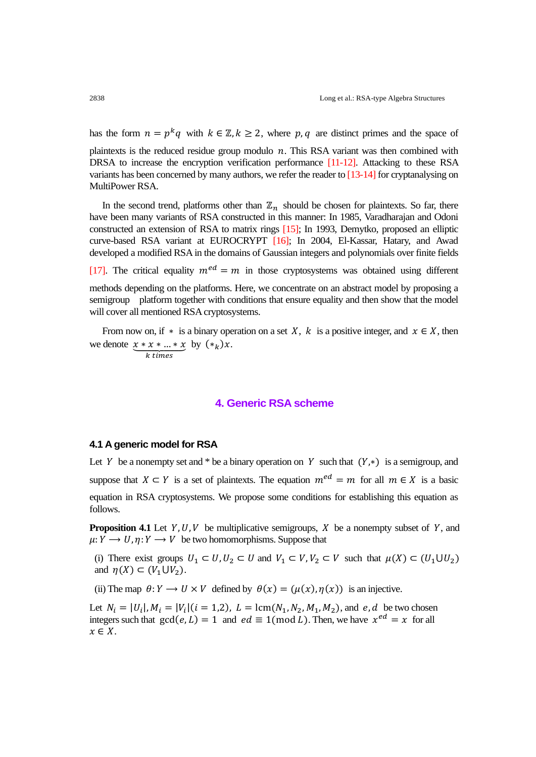has the form  $n = p^k q$  with  $k \in \mathbb{Z}, k \ge 2$ , where p, q are distinct primes and the space of

plaintexts is the reduced residue group modulo  $n$ . This RSA variant was then combined with DRSA to increase the encryption verification performance [11-12]. Attacking to these RSA variants has been concerned by many authors, we refer the reader to [13-14] for cryptanalysing on MultiPower RSA.

In the second trend, platforms other than  $\mathbb{Z}_n$  should be chosen for plaintexts. So far, there have been many variants of RSA constructed in this manner: In 1985, Varadharajan and Odoni constructed an extension of RSA to matrix rings [15]; In 1993, Demytko, proposed an elliptic curve-based RSA variant at EUROCRYPT [16]; In 2004, El-Kassar, Hatary, and Awad developed a modified RSA in the domains of Gaussian integers and polynomials over finite fields

[17]. The critical equality  $m^{ed} = m$  in those cryptosystems was obtained using different

methods depending on the platforms. Here, we concentrate on an abstract model by proposing a semigroup platform together with conditions that ensure equality and then show that the model will cover all mentioned RSA cryptosystems.

From now on, if  $*$  is a binary operation on a set X, k is a positive integer, and  $x \in X$ , then we denote by  $(*_k)x$ .

#### $\boldsymbol{k}$

# **4. Generic RSA scheme**

# **4.1 A generic model for RSA**

Let Y be a nonempty set and \* be a binary operation on Y such that  $(Y, *)$  is a semigroup, and suppose that  $X \subset Y$  is a set of plaintexts. The equation  $m^{ed} = m$  for all  $m \in X$  is a basic equation in RSA cryptosystems. We propose some conditions for establishing this equation as follows.

**Proposition 4.1** Let  $Y, U, V$  be multiplicative semigroups,  $X$  be a nonempty subset of  $Y$ , and  $\mu: Y \longrightarrow U$ ,  $\eta: Y \longrightarrow V$  be two homomorphisms. Suppose that

(i) There exist groups  $U_1 \subset U$ ,  $U_2 \subset U$  and  $V_1 \subset V$ ,  $V_2 \subset V$  such that  $\mu(X) \subset (U_1 \cup U_2)$ and  $\eta(X) \subset (V_1 \cup V_2)$ .

(ii) The map  $\theta: Y \to U \times V$  defined by  $\theta(x) = (\mu(x), \eta(x))$  is an injective.

Let  $N_i = |U_i|, M_i = |V_i| (i = 1, 2), L = \text{lcm}(N_1, N_2, M_1, M_2)$ , and e, d be two chosen integers such that  $gcd(e, L) = 1$  and  $ed \equiv 1 \pmod{L}$ . Then, we have  $x^{ed} = x$  for all  $x \in X$ .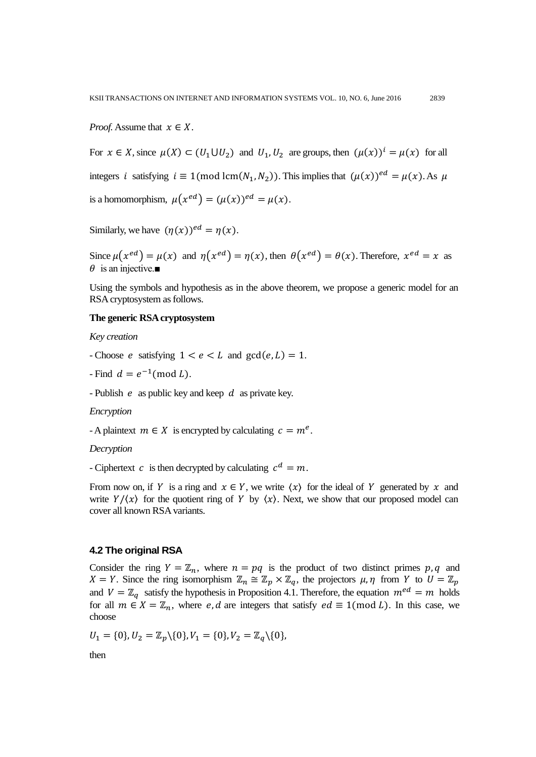*Proof.* Assume that  $x \in X$ .

For  $x \in X$ , since  $\mu(X) \subset (U_1 \cup U_2)$  and  $U_1, U_2$  are groups, then  $(\mu(x))^i = \mu(x)$  for all integers *i* satisfying  $i \equiv 1 \pmod{\text{lcm}(N_1, N_2)}$ . This implies that  $(\mu(x))^{ed} = \mu(x)$ . As is a homomorphism,  $\mu(x^{ed}) = (\mu(x))^{ed} = \mu(x)$ .

Similarly, we have  $(\eta(x))^{ed} = \eta(x)$ .

Since  $\mu(x^{ed}) = \mu(x)$  and  $\eta(x^{ed}) = \eta(x)$ , then  $\theta(x^{ed}) = \theta(x)$ . Therefore,  $x^{ed} = x$  as  $\theta$  is an injective.

Using the symbols and hypothesis as in the above theorem, we propose a generic model for an RSA cryptosystem as follows.

# **The generic RSA cryptosystem**

*Key creation*

- Choose e satisfying  $1 < e < L$  and  $gcd(e, L) = 1$ .
- Find  $d = e^{-1} \pmod{L}$ .

- Publish  $e$  as public key and keep  $d$  as private key.

## *Encryption*

- A plaintext  $m \in X$  is encrypted by calculating  $c = m^e$ .

#### *Decryption*

- Ciphertext c is then decrypted by calculating  $c^d = m$ .

From now on, if Y is a ring and  $x \in Y$ , we write  $\langle x \rangle$  for the ideal of Y generated by x and write  $Y/\langle x \rangle$  for the quotient ring of Y by  $\langle x \rangle$ . Next, we show that our proposed model can cover all known RSA variants.

### **4.2 The original RSA**

Consider the ring  $Y = \mathbb{Z}_n$ , where  $n = pq$  is the product of two distinct primes p, q and  $X = Y$ . Since the ring isomorphism  $\mathbb{Z}_n \cong \mathbb{Z}_p \times \mathbb{Z}_q$ , the projectors  $\mu, \eta$  from Y to  $U = \mathbb{Z}_n$ and  $V = \mathbb{Z}_q$  satisfy the hypothesis in Proposition 4.1. Therefore, the equation  $m^{ed} = m$  holds for all  $m \in X = \mathbb{Z}_n$ , where e, d are integers that satisfy  $ed \equiv 1 \pmod{L}$ . In this case, we choose

$$
U_1 = \{0\}, U_2 = \mathbb{Z}_p \setminus \{0\}, V_1 = \{0\}, V_2 = \mathbb{Z}_q \setminus \{0\},
$$

then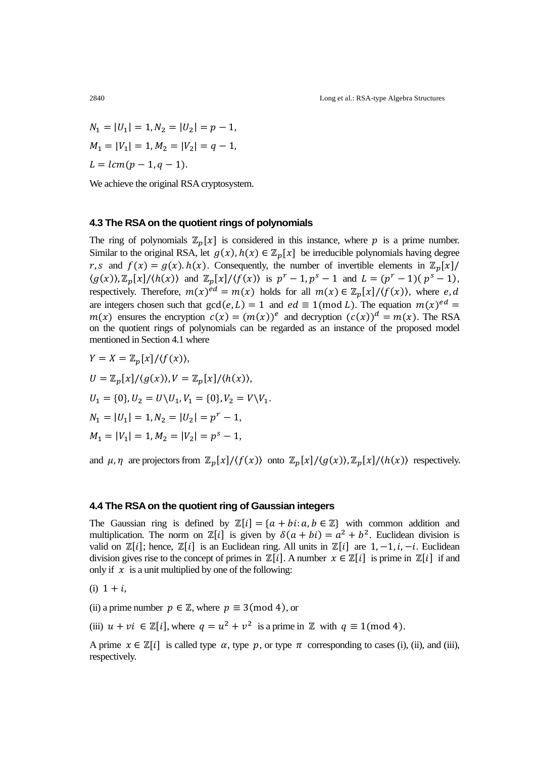$$
N_1 = |U_1| = 1, N_2 = |U_2| = p - 1,
$$
  
\n
$$
M_1 = |V_1| = 1, M_2 = |V_2| = q - 1,
$$
  
\n
$$
L = lcm(p - 1, q - 1).
$$

We achieve the original RSA cryptosystem.

# **4.3 The RSA on the quotient rings of polynomials**

The ring of polynomials  $\mathbb{Z}_p[x]$  is considered in this instance, where p is a prime number. Similar to the original RSA, let  $g(x)$ ,  $h(x) \in \mathbb{Z}_p[x]$  be irreducible polynomials having degree r, s and  $f(x) = g(x) \cdot h(x)$ . Consequently, the number of invertible elements in  $\mathbb{Z}_p$ [  $\langle g(x) \rangle$ ,  $\mathbb{Z}_n[x]/\langle h(x) \rangle$  and  $\mathbb{Z}_n[x]/\langle f(x) \rangle$  is  $p^r - 1$ ,  $p^s - 1$  and  $L = (p^r - 1)(p^s - 1)$ , respectively. Therefore,  $m(x)^{ed} = m(x)$  holds for all  $m(x) \in \mathbb{Z}_p[x]/\langle f(x) \rangle$ , where are integers chosen such that  $gcd(e, L) = 1$  and  $ed \equiv 1 \pmod{L}$ . The equation  $m(x)^e$  $m(x)$  ensures the encryption  $c(x) = (m(x))^e$  and decryption  $(c(x))^d = m(x)$ . The RSA on the quotient rings of polynomials can be regarded as an instance of the proposed model mentioned in Section 4.1 where

$$
Y = X = \mathbb{Z}_p[x]/\langle f(x) \rangle,
$$
  
\n
$$
U = \mathbb{Z}_p[x]/\langle g(x) \rangle, V = \mathbb{Z}_p[x]/\langle h(x) \rangle,
$$
  
\n
$$
U_1 = \{0\}, U_2 = U \setminus U_1, V_1 = \{0\}, V_2 = V \setminus V_1.
$$
  
\n
$$
N_1 = |U_1| = 1, N_2 = |U_2| = p^r - 1,
$$
  
\n
$$
M_1 = |V_1| = 1, M_2 = |V_2| = p^s - 1,
$$

and  $\mu$ ,  $\eta$  are projectors from  $\mathbb{Z}_n[x]/\langle f(x) \rangle$  onto  $\mathbb{Z}_n[x]/\langle g(x) \rangle$ ,  $\mathbb{Z}_n[x]/\langle h(x) \rangle$  respectively.

# **4.4 The RSA on the quotient ring of Gaussian integers**

The Gaussian ring is defined by  $\mathbb{Z}[i] = \{a + bi : a, b \in \mathbb{Z}\}\$  with common addition and multiplication. The norm on  $\mathbb{Z}[i]$  is given by  $\delta(a + bi) = a^2 + b^2$ . Euclidean division is valid on  $\mathbb{Z}[i]$ ; hence,  $\mathbb{Z}[i]$  is an Euclidean ring. All units in  $\mathbb{Z}[i]$  are  $1, -1, i, -i$ . Euclidean division gives rise to the concept of primes in  $\mathbb{Z}[i]$ . A number  $x \in \mathbb{Z}[i]$  is prime in  $\mathbb{Z}[i]$  if and only if  $x$  is a unit multiplied by one of the following:

(i)  $1 + i$ .

(ii) a prime number  $p \in \mathbb{Z}$ , where  $p \equiv 3 \pmod{4}$ , or

(iii)  $u + vi \in \mathbb{Z}[i]$ , where  $q = u^2 + v^2$  is a prime in  $\mathbb{Z}$  with  $q \equiv 1 \pmod{4}$ .

A prime  $x \in \mathbb{Z}[i]$  is called type  $\alpha$ , type  $\beta$ , or type  $\pi$  corresponding to cases (i), (ii), and (iii), respectively.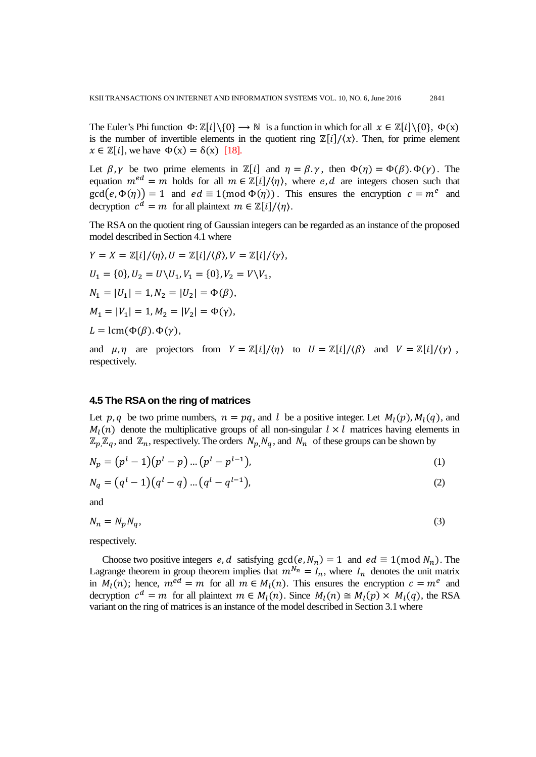The Euler's Phi function  $\Phi: \mathbb{Z}[i] \setminus \{0\} \to \mathbb{N}$  is a function in which for all  $x \in \mathbb{Z}[i] \setminus \{0\}$ ,  $\Phi(x)$ is the number of invertible elements in the quotient ring  $\mathbb{Z}[i]/\langle x \rangle$ . Then, for prime element  $x \in \mathbb{Z}[i]$ , we have  $\Phi(x) = \delta(x)$  [18].

Let  $\beta$ ,  $\gamma$  be two prime elements in  $\mathbb{Z}[i]$  and  $\eta = \beta$ .  $\gamma$ , then  $\Phi(\eta) = \Phi(\beta)$ .  $\Phi(\gamma)$ . The equation  $m^{ed} = m$  holds for all  $m \in \mathbb{Z}[i]/\langle \eta \rangle$ , where e, d are integers chosen such that  $gcd(e, \Phi(\eta)) = 1$  and  $ed \equiv 1 \pmod{\Phi(\eta)}$ . This ensures the encryption  $c = m^e$  and decryption  $c^d = m$  for all plaintext  $m \in \mathbb{Z}[i]/\langle \eta \rangle$ .

The RSA on the quotient ring of Gaussian integers can be regarded as an instance of the proposed model described in Section 4.1 where

$$
Y = X = \mathbb{Z}[i]/\langle \eta \rangle, U = \mathbb{Z}[i]/\langle \beta \rangle, V = \mathbb{Z}[i]/\langle \gamma \rangle,
$$
  
\n
$$
U_1 = \{0\}, U_2 = U \setminus U_1, V_1 = \{0\}, V_2 = V \setminus V_1,
$$
  
\n
$$
N_1 = |U_1| = 1, N_2 = |U_2| = \Phi(\beta),
$$
  
\n
$$
M_1 = |V_1| = 1, M_2 = |V_2| = \Phi(\gamma),
$$
  
\n
$$
L = \text{lcm}(\Phi(\beta), \Phi(\gamma),
$$

and  $\mu, \eta$  are projectors from  $Y = \mathbb{Z}[i]/\langle \eta \rangle$  to  $U = \mathbb{Z}[i]/\langle \beta \rangle$  and  $V = \mathbb{Z}[i]/\langle \gamma \rangle$ , respectively.

# **4.5 The RSA on the ring of matrices**

Let p, q be two prime numbers,  $n = pq$ , and l be a positive integer. Let  $M_l(p)$ ,  $M_l(q)$ , and  $M_l(n)$  denote the multiplicative groups of all non-singular  $l \times l$  matrices having elements in  $\mathbb{Z}_p$ ,  $\mathbb{Z}_q$ , and  $\mathbb{Z}_n$ , respectively. The orders  $N_p$ ,  $N_q$ , and  $N_n$  of these groups can be shown by

$$
N_p = (p^l - 1)(p^l - p) \dots (p^l - p^{l-1}),
$$
\n(1)

$$
N_q = (q^l - 1)(q^l - q) \dots (q^l - q^{l-1}),
$$
\n(2)

and

$$
N_n = N_p N_q,\tag{3}
$$

respectively.

Choose two positive integers e, d satisfying  $gcd(e, N_n) = 1$  and  $ed \equiv 1 \pmod{N_n}$ . The Lagrange theorem in group theorem implies that  $m^{N_n} = I_n$ , where  $I_n$  denotes the unit matrix in  $M_l(n)$ ; hence,  $m^{ed} = m$  for all  $m \in M_l(n)$ . This ensures the encryption  $c = m^e$  and decryption  $c^d = m$  for all plaintext  $m \in M_l(n)$ . Since  $M_l(n) \cong M_l(p) \times M_l(q)$ , the RSA variant on the ring of matrices is an instance of the model described in Section 3.1 where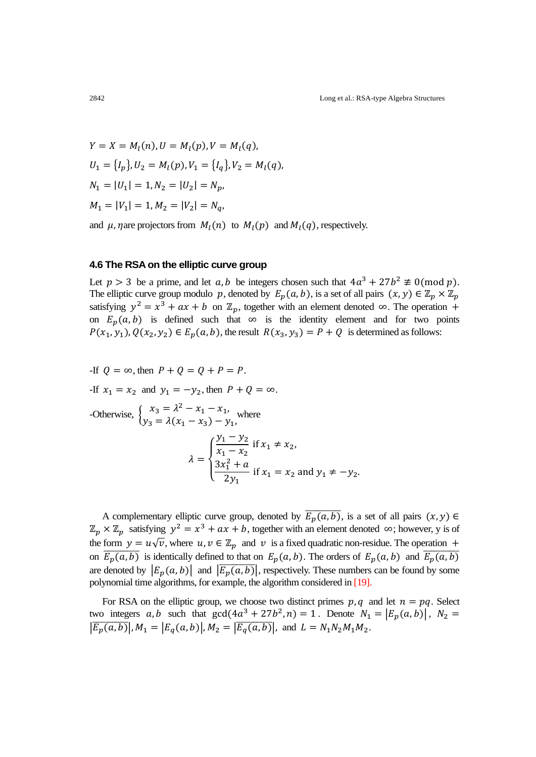$Y = X = M_l(n), U = M_l(p), V = M_l(n)$  $U_1 = \{I_p\}, U_2 = M_l(p), V_1 = \{I_q\}, V_2 = M_l(p)$  $N_1 = |U_1| = 1, N_2 = |U_2|$  $M_1 = |V_1| = 1, M_2 = |V_2|$ 

and  $\mu$ ,  $\eta$  are projectors from  $M_l(n)$  to  $M_l(p)$  and  $M_l(q)$ , respectively.

#### **4.6 The RSA on the elliptic curve group**

Let  $p > 3$  be a prime, and let  $a, b$  be integers chosen such that  $4a^3 + 27b^2 \not\equiv 0 \pmod{p}$ . The elliptic curve group modulo p, denoted by  $E_p(a, b)$ , is a set of all pairs  $(x, y) \in \mathbb{Z}_p \times \mathbb{Z}_p$ satisfying  $y^2 = x^3 + ax + b$  on  $\mathbb{Z}_n$ , together with an element denoted  $\infty$ . The operation on  $E_p(a, b)$  is defined such that  $\infty$  is the identity element and for two points  $P(x_1, y_1), Q(x_2, y_2) \in E_p(a, b)$ , the result  $R(x_3, y_3) = P + Q$  is determined as follows:

If 
$$
Q = \infty
$$
, then  $P + Q = Q + P = P$ .

\nIf  $x_1 = x_2$  and  $y_1 = -y_2$ , then  $P + Q = \infty$ .

\nOtherwise, 
$$
\begin{cases} x_3 = \lambda^2 - x_1 - x_1, \\ y_3 = \lambda(x_1 - x_3) - y_1, \end{cases}
$$
 where

\n
$$
\lambda = \begin{cases} \frac{y_1 - y_2}{x_1 - x_2} & \text{if } x_1 \neq x_2, \\ \frac{3x_1^2 + a}{2y_1} & \text{if } x_1 = x_2 \text{ and } y_1 \neq -y_2. \end{cases}
$$

A complementary elliptic curve group, denoted by  $\overline{E_p(a,b)}$ , is a set of all pairs  $\mathbb{Z}_p \times \mathbb{Z}_p$  satisfying  $y^2 = x^3 + ax + b$ , together with an element denoted  $\infty$ ; however, y is of the form  $y = u\sqrt{v}$ , where  $u, v \in \mathbb{Z}_p$  and v is a fixed quadratic non-residue. The operation + on  $\overline{E_n(a,b)}$  is identically defined to that on  $E_n(a,b)$ . The orders of  $E_n(a,b)$  and  $\overline{E}_n(a,b)$ are denoted by  $|E_p(a, b)|$  and  $|\overline{E_p(a, b)}|$ , respectively. These numbers can be found by some polynomial time algorithms, for example, the algorithm considered in [19].

For RSA on the elliptic group, we choose two distinct primes  $p, q$  and let  $n = pq$ . Select two integers  $a, b$  such that  $gcd(4a^3 + 27b^2, n) = 1$ . Denote  $N_1 = |E_p(a, b)|$ ,  $\left|\overline{E_p(a,b)}\right|$ ,  $M_1 = \left|E_q(a,b)\right|$ ,  $M_2 = \left|\overline{E_q(a,b)}\right|$ , and  $L = N_1N_2M_1M_2$ .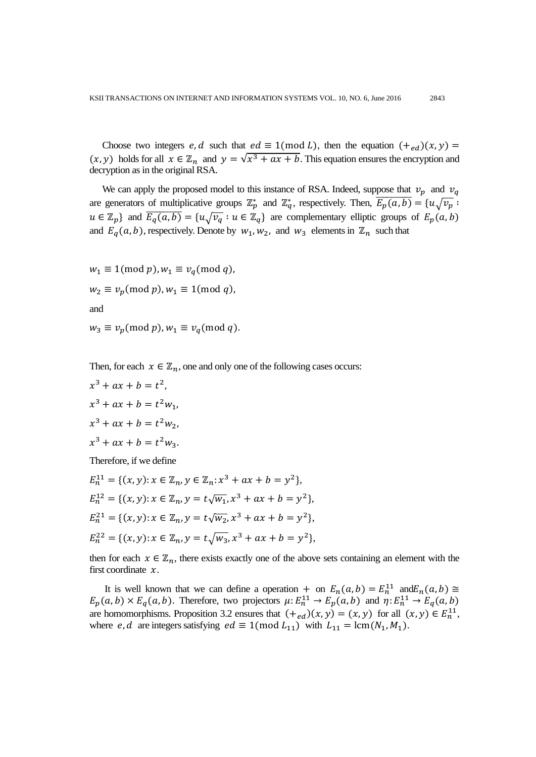Choose two integers e, d such that  $ed \equiv 1 \pmod{L}$ , then the equation  $(+_{ed})(x, y) =$  $(x, y)$  holds for all  $x \in \mathbb{Z}_n$  and  $y = \sqrt{x^3 + ax + b}$ . This equation ensures the encryption and decryption as in the original RSA.

We can apply the proposed model to this instance of RSA. Indeed, suppose that  $v_p$  and  $v_q$ are generators of multiplicative groups  $\mathbb{Z}_n^*$  and  $\mathbb{Z}_q^*$ , respectively. Then,  $\overline{P}$  $u \in \mathbb{Z}_p$  and  $\overline{E_q(a,b)} = \{u\sqrt{v_q} : u \in \mathbb{Z}_q\}$  are complementary elliptic groups of and  $E_q(a, b)$ , respectively. Denote by  $w_1, w_2$ , and  $w_3$  elements in  $\mathbb{Z}_n$  such that

$$
w_1 \equiv 1 \pmod{p}, w_1 \equiv v_q \pmod{q},
$$
  

$$
w_2 \equiv v_p \pmod{p}, w_1 \equiv 1 \pmod{q},
$$
  
and

 $w_3 \equiv v_p \pmod{p}$ ,  $w_1 \equiv v_q$ 

Then, for each  $x \in \mathbb{Z}_n$ , one and only one of the following cases occurs:

$$
x^{3} + ax + b = t^{2},
$$
  
\n
$$
x^{3} + ax + b = t^{2}w_{1},
$$
  
\n
$$
x^{3} + ax + b = t^{2}w_{2},
$$
  
\n
$$
x^{3} + ax + b = t^{2}w_{3}.
$$
  
\nTherefore, if we define  
\n
$$
E_{n}^{11} = \{(x, y) : x \in \mathbb{Z}_{n}, y \in \mathbb{Z}_{n} : x^{3} + ax + b = y^{2}\},
$$

$$
E_n^{12} = \{(x, y): x \in \mathbb{Z}_n, y = t\sqrt{w_1}, x^3 + ax + b = y^2\},
$$
  
\n
$$
E_n^{21} = \{(x, y): x \in \mathbb{Z}_n, y = t\sqrt{w_2}, x^3 + ax + b = y^2\},
$$
  
\n
$$
E_n^{22} = \{(x, y): x \in \mathbb{Z}_n, y = t\sqrt{w_3}, x^3 + ax + b = y^2\},
$$

then for each  $x \in \mathbb{Z}_n$ , there exists exactly one of the above sets containing an element with the first coordinate  $x$ .

It is well known that we can define a operation + on  $E_n(a, b) = E_n^{11}$  and E  $E_p(a, b) \times E_q(a, b)$ . Therefore, two projectors  $\mu: E_n^{11} \to E_p(a, b)$  and  $\eta: E_n^{11}$ are homomorphisms. Proposition 3.2 ensures that  $(\pm_{ed})(x, y) = (x, y)$  for all  $(x, y) \in E_n^{11}$ , where *e*, *d* are integers satisfying  $ed \equiv 1 \pmod{L_{11}}$  with  $L_{11} = \text{lcm}(N_1, M_1)$ .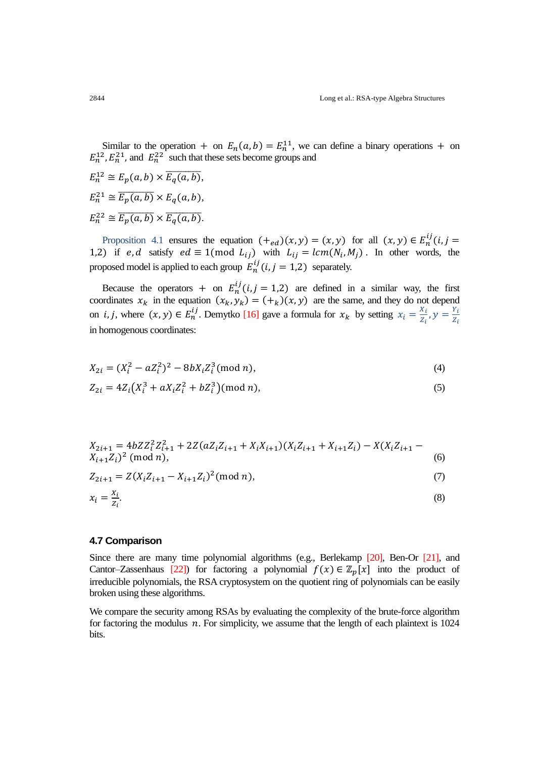Similar to the operation + on  $E_n(a, b) = E_n^{11}$ , we can define a binary operations + on  $E_n^{12}$ ,  $E_n^{21}$ , and  $E_n^{22}$  such that these sets become groups and

 $E_n^{12} \cong E_p(a, b) \times \overline{E_q(a, b)},$  $E_n^{21} \cong \overline{E_p(a,b)} \times E_q(a,b),$  $E_n^{22} \cong \overline{E_p(a,b)} \times \overline{E_q(a,b)}$ .

Proposition 4.1 ensures the equation  $(+_{ed})(x, y) = (x, y)$  for all  $(x, y) \in E<sub>r</sub><sup>i</sup>$ 1,2) if e, d satisfy  $ed \equiv 1 \pmod{L_{ij}}$  with  $L_{ij} = lcm(N_i, M_j)$ . In other words, the proposed model is applied to each group  $E_n^{ij}(i, j = 1,2)$  separately.

Because the operators + on  $E_n^{ij}$  (*i*, *j* = 1,2) are defined in a similar way, the first coordinates  $x_k$  in the equation  $(x_k, y_k) = (+_k)(x, y)$  are the same, and they do not depend on *i*, *j*, where  $(x, y) \in E_n^{ij}$ . Demytko [16] gave a formula for  $x_k$  by setting  $x_i = \frac{x}{a}$  $\frac{X_i}{Z_i}$ ,  $y = \frac{Y}{Z}$ Z in homogenous coordinates:

$$
X_{2i} = (X_i^2 - aZ_i^2)^2 - 8bX_iZ_i^3 \pmod{n},\tag{4}
$$

$$
Z_{2i} = 4Z_i\left(X_i^3 + aX_iZ_i^2 + bZ_i^3\right) \text{(mod } n),\tag{5}
$$

$$
X_{2i+1} = 4bZZ_i^2Z_{i+1}^2 + 2Z(aZ_iZ_{i+1} + X_iX_{i+1})(X_iZ_{i+1} + X_{i+1}Z_i) - X(X_iZ_{i+1} - X_{i+1}Z_i)^2 \text{ (mod } n),
$$
\n
$$
(6)
$$

$$
Z_{2i+1} = Z(X_i Z_{i+1} - X_{i+1} Z_i)^2 \pmod{n},\tag{7}
$$

$$
x_i = \frac{x_i}{z_i}.\tag{8}
$$

## **4.7 Comparison**

Since there are many time polynomial algorithms (e.g., Berlekamp [20], Ben-Or [21], and Cantor–Zassenhaus [22]) for factoring a polynomial  $f(x) \in \mathbb{Z}_n[x]$  into the product of irreducible polynomials, the RSA cryptosystem on the quotient ring of polynomials can be easily broken using these algorithms.

We compare the security among RSAs by evaluating the complexity of the brute-force algorithm for factoring the modulus  $n$ . For simplicity, we assume that the length of each plaintext is 1024 bits.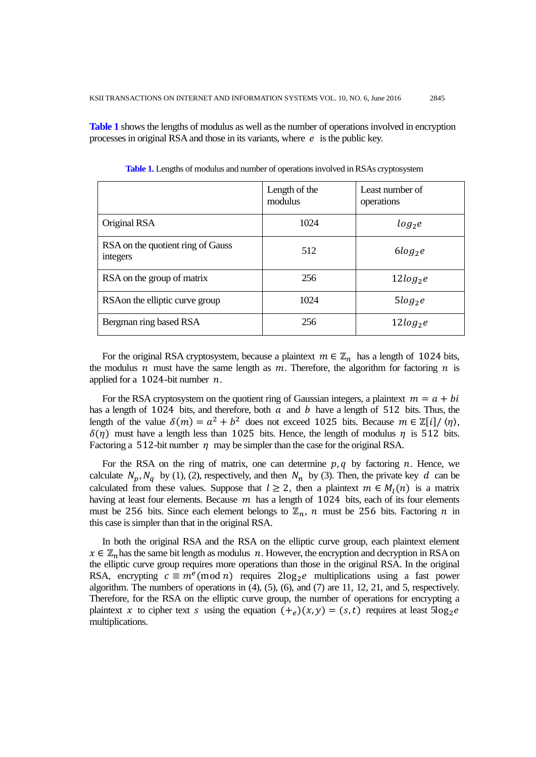**Table 1** shows the lengths of modulus as well as the number of operations involved in encryption processes in original RSA and those in its variants, where  $e$  is the public key.

|                                               | Length of the<br>modulus | Least number of<br>operations |
|-----------------------------------------------|--------------------------|-------------------------------|
| Original RSA                                  | 1024                     | $log_2e$                      |
| RSA on the quotient ring of Gauss<br>integers | 512                      | $6log_2e$                     |
| RSA on the group of matrix                    | 256                      | $12log_2e$                    |
| RSA on the elliptic curve group               | 1024                     | $5log_2e$                     |
| Bergman ring based RSA                        | 256                      | $12log_2e$                    |

**Table 1.** Lengths of modulus and number of operations involved in RSAs cryptosystem

For the original RSA cryptosystem, because a plaintext  $m \in \mathbb{Z}_n$  has a length of 1024 bits, the modulus  $n$  must have the same length as  $m$ . Therefore, the algorithm for factoring  $n$  is applied for a  $1024$ -bit number  $n$ .

For the RSA cryptosystem on the quotient ring of Gaussian integers, a plaintext  $m = a + bi$ has a length of 1024 bits, and therefore, both  $\alpha$  and  $\beta$  have a length of 512 bits. Thus, the length of the value  $\delta(m) = a^2 + b^2$  does not exceed 1025 bits. Because  $m \in \mathbb{Z}[i]/\langle \eta \rangle$ ,  $\delta(\eta)$  must have a length less than 1025 bits. Hence, the length of modulus  $\eta$  is 512 bits. Factoring a 512-bit number  $\eta$  may be simpler than the case for the original RSA.

For the RSA on the ring of matrix, one can determine  $p, q$  by factoring  $n$ . Hence, we calculate  $N_p$ ,  $N_q$  by (1), (2), respectively, and then  $N_n$  by (3). Then, the private key d can be calculated from these values. Suppose that  $l \ge 2$ , then a plaintext  $m \in M_l(n)$  is a matrix having at least four elements. Because  $m$  has a length of 1024 bits, each of its four elements must be 256 bits. Since each element belongs to  $\mathbb{Z}_n$ , n must be 256 bits. Factoring n in this case is simpler than that in the original RSA.

In both the original RSA and the RSA on the elliptic curve group, each plaintext element  $x \in \mathbb{Z}_n$  has the same bit length as modulus n. However, the encryption and decryption in RSA on the elliptic curve group requires more operations than those in the original RSA. In the original RSA, encrypting  $c \equiv m^e \pmod{n}$  requires  $2\log_2 e$  multiplications using a fast power algorithm. The numbers of operations in (4), (5), (6), and (7) are 11, 12, 21, and 5, respectively. Therefore, for the RSA on the elliptic curve group, the number of operations for encrypting a plaintext x to cipher text s using the equation  $(+_e)(x, y) = (s, t)$  requires at least 5 multiplications.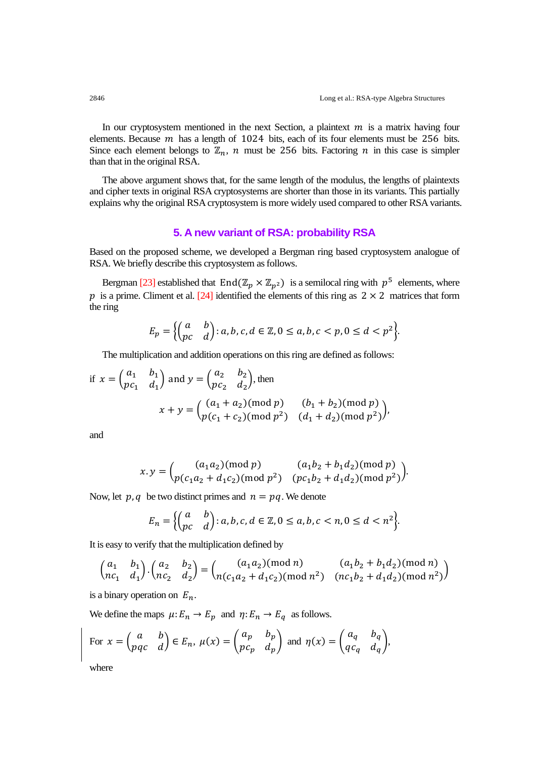In our cryptosystem mentioned in the next Section, a plaintext  $m$  is a matrix having four elements. Because  $m$  has a length of 1024 bits, each of its four elements must be 256 bits. Since each element belongs to  $\mathbb{Z}_n$ , n must be 256 bits. Factoring n in this case is simpler than that in the original RSA.

The above argument shows that, for the same length of the modulus, the lengths of plaintexts and cipher texts in original RSA cryptosystems are shorter than those in its variants. This partially explains why the original RSA cryptosystem is more widely used compared to other RSA variants.

# **5. A new variant of RSA: probability RSA**

Based on the proposed scheme, we developed a Bergman ring based cryptosystem analogue of RSA. We briefly describe this cryptosystem as follows.

Bergman [23] established that  $End(\mathbb{Z}_p \times \mathbb{Z}_{n^2})$  is a semilocal ring with  $p^5$  elements, where p is a prime. Climent et al. [24] identified the elements of this ring as  $2 \times 2$  matrices that form the ring

$$
E_p = \left\{ \begin{pmatrix} a & b \\ pc & d \end{pmatrix} : a, b, c, d \in \mathbb{Z}, 0 \le a, b, c < p, 0 \le d < p^2 \right\}.
$$

The multiplication and addition operations on this ring are defined as follows:

if 
$$
x = \begin{pmatrix} a_1 & b_1 \\ pc_1 & d_1 \end{pmatrix}
$$
 and  $y = \begin{pmatrix} a_2 & b_2 \\ pc_2 & d_2 \end{pmatrix}$ , then  
\n
$$
x + y = \begin{pmatrix} (a_1 + a_2) \pmod{p} & (b_1 + b_2) \pmod{p} \\ p(c_1 + c_2) \pmod{p^2} & (d_1 + d_2) \pmod{p^2} \end{pmatrix},
$$

and

$$
x. y = {a_1a_2 \pmod{p} \qquad (a_1b_2 + b_1d_2) \pmod{p} \choose p(c_1a_2 + d_1c_2) \pmod{p^2} \qquad (pc_1b_2 + d_1d_2) \pmod{p^2}}
$$

Now, let p, q be two distinct primes and  $n = pq$ . We denote

$$
E_n = \left\{ \begin{pmatrix} a & b \\ pc & d \end{pmatrix} : a, b, c, d \in \mathbb{Z}, 0 \le a, b, c < n, 0 \le d < n^2 \right\}.
$$

It is easy to verify that the multiplication defined by

$$
\begin{pmatrix} a_1 & b_1 \ n c_1 & d_1 \end{pmatrix} \cdot \begin{pmatrix} a_2 & b_2 \ n c_2 & d_2 \end{pmatrix} = \begin{pmatrix} (a_1 a_2) \text{ (mod } n) & (a_1 b_2 + b_1 d_2) \text{ (mod } n) \\ n (c_1 a_2 + d_1 c_2) \text{ (mod } n^2) & (n c_1 b_2 + d_1 d_2) \text{ (mod } n^2) \end{pmatrix}
$$

is a binary operation on  $E_n$ .

We define the maps  $\mu: E_n \to E_p$  and  $\eta: E_n \to E_q$  as follows.

For 
$$
x = \begin{pmatrix} a & b \\ pqc & d \end{pmatrix} \in E_n
$$
,  $\mu(x) = \begin{pmatrix} a_p & b_p \\ pc_p & d_p \end{pmatrix}$  and  $\eta(x) = \begin{pmatrix} a_q & b_q \\ qc_q & d_q \end{pmatrix}$ ,

where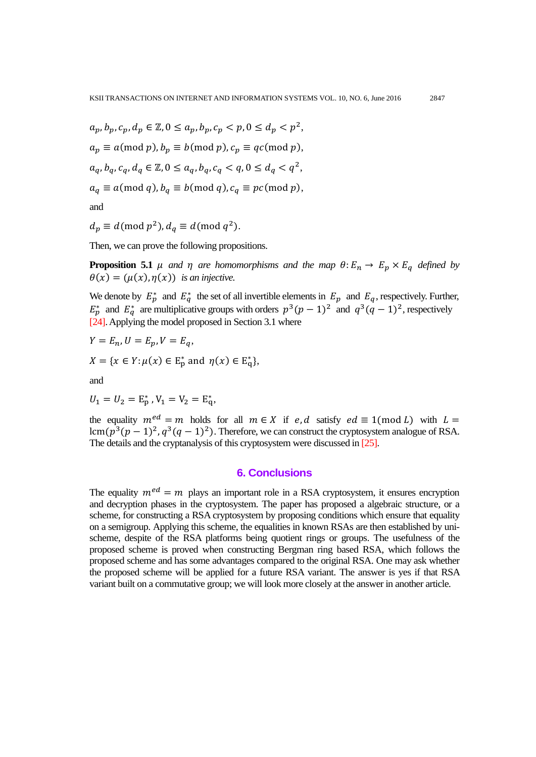$$
a_p, b_p, c_p, d_p \in \mathbb{Z}, 0 \le a_p, b_p, c_p < p, 0 \le d_p < p^2,
$$
\n
$$
a_p \equiv a \pmod{p}, b_p \equiv b \pmod{p}, c_p \equiv qc \pmod{p},
$$
\n
$$
a_q, b_q, c_q, d_q \in \mathbb{Z}, 0 \le a_q, b_q, c_q < q, 0 \le d_q < q^2,
$$
\n
$$
a_q \equiv a \pmod{q}, b_q \equiv b \pmod{q}, c_q \equiv pc \pmod{p},
$$

and

$$
d_p \equiv d \pmod{p^2}, d_q \equiv d \pmod{q^2}.
$$

Then, we can prove the following propositions.

**Proposition 5.1**  $\mu$  and  $\eta$  are homomorphisms and the map  $\theta$ :  $E_n \to E_p \times E_q$  defined by  $\theta(x) = (\mu(x), \eta(x))$  is an injective.

We denote by  $E_p^*$  and  $E_q^*$  the set of all invertible elements in  $E_p$  and  $E_q$ , respectively. Further,  $E_p^*$  and  $E_q^*$  are multiplicative groups with orders  $p^3(p-1)^2$  and  $q^3(q-1)^2$ , respectively [24]. Applying the model proposed in Section 3.1 where

$$
Y = E_n, U = E_p, V = E_q,
$$
  

$$
X = \{x \in Y : \mu(x) \in E_p^* \text{ and } \eta(x) \in E_q^*\},
$$

and

$$
U_1 = U_2 = E_p^*, V_1 = V_2 = E_q^*,
$$

the equality  $m^{ed} = m$  holds for all  $m \in X$  if e, d satisfy  $ed \equiv 1 \pmod{L}$  with  $L =$ lcm $(p^3(p-1)^2, q^3(q-1)^2)$ . Therefore, we can construct the cryptosystem analogue of RSA. The details and the cryptanalysis of this cryptosystem were discussed in [25].

# **6. Conclusions**

The equality  $m^{ed} = m$  plays an important role in a RSA cryptosystem, it ensures encryption and decryption phases in the cryptosystem. The paper has proposed a algebraic structure, or a scheme, for constructing a RSA cryptosystem by proposing conditions which ensure that equality on a semigroup. Applying this scheme, the equalities in known RSAs are then established by unischeme, despite of the RSA platforms being quotient rings or groups. The usefulness of the proposed scheme is proved when constructing Bergman ring based RSA, which follows the proposed scheme and has some advantages compared to the original RSA. One may ask whether the proposed scheme will be applied for a future RSA variant. The answer is yes if that RSA variant built on a commutative group; we will look more closely at the answer in another article.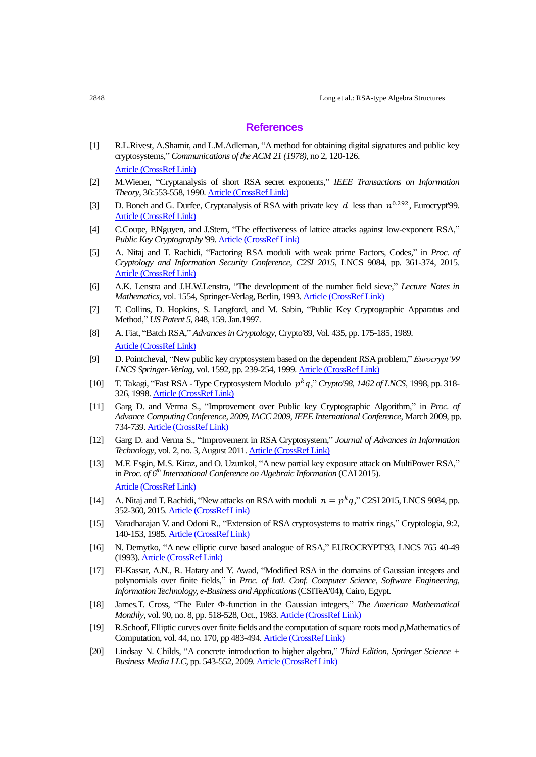#### **References**

- [1] R.L.Rivest, A.Shamir, and L.M.Adleman, "A method for obtaining digital signatures and public key cryptosystems," *Communications of the ACM 21 (1978)*, no 2, 120-126. [Article \(CrossRef Link\)](http://dx.doi.org/10.1145/359340.359342)
- [2] M.Wiener, "Cryptanalysis of short RSA secret exponents," *IEEE Transactions on Information Theory*, 36:553-558, 1990. [Article \(CrossRef Link\)](http://dx.doi.org/10.1109/18.54902)
- [3] D. Boneh and G. Durfee, Cryptanalysis of RSA with private key d less than  $n^{0.292}$ , Eurocrypt'99. [Article \(CrossRef Link\)](http://dx.doi.org/10.1007/3-540-48910-X_1)
- [4] C.Coupe, P.Nguyen, and J.Stern, "The effectiveness of lattice attacks against low-exponent RSA," *Public Key Cryptography* '99[. Article \(CrossRef Link\)](http://dx.doi.org/10.1007/3-540-49162-7_16)
- [5] A. Nitaj and T. Rachidi, "Factoring RSA moduli with weak prime Factors, Codes," in *Proc. of Cryptology and Information Security Conference, C2SI 2015*, LNCS 9084, pp. 361-374, 2015. [Article \(CrossRef Link\)](http://dx.doi.org/10.1007/978-3-319-18681-8_29)
- [6] A.K. Lenstra and J.H.W.Lenstra, "The development of the number field sieve," *Lecture Notes in Mathematics*, vol. 1554, Springer-Verlag, Berlin, 1993[. Article \(CrossRef Link\)](http://dx.doi.org/10.1007/BFb0091534)
- [7] T. Collins, D. Hopkins, S. Langford, and M. Sabin, "Public Key Cryptographic Apparatus and Method," *US Patent 5*, 848, 159. Jan.1997.
- [8] A. Fiat, "Batch RSA," *Advances in Cryptology*, Crypto'89, Vol. 435, pp. 175-185, 1989. [Article \(CrossRef Link\)](http://dx.doi.org/10.1007/0-387-34805-0_17)
- [9] D. Pointcheval, "New public key cryptosystem based on the dependent RSA problem," *Eurocrypt'99 LNCS Springer-Verlag*, vol. 1592, pp. 239-254, 1999. [Article \(CrossRef Link\)](http://dx.doi.org/10.1007/3-540-48910-X_17)
- [10] T. Takagi, "Fast RSA Type Cryptosystem Modulo  $p^k q$ ," Crypto'98, 1462 of LNCS, 1998, pp. 318-326, 1998[. Article \(CrossRef Link\)](http://dx.doi.org/10.1007/BFb0055738)
- [11] Garg D. and Verma S., "Improvement over Public key Cryptographic Algorithm," in *Proc. of Advance Computing Conference, 2009, IACC 2009, IEEE International Conference*, March 2009, pp. 734-739. [Article \(CrossRef Link\)](http://dx.doi.org/10.1109/iadcc.2009.4809104)
- [12] Garg D. and Verma S., "Improvement in RSA Cryptosystem," *Journal of Advances in Information Technology*, vol. 2, no. 3, August 2011[. Article \(CrossRef Link\)](http://dx.doi.org/10.4304/jait.2.3.146-151)
- [13] M.F. Esgin, M.S. Kiraz, and O. Uzunkol, "A new partial key exposure attack on MultiPower RSA," in *Proc. of 6 th International Conference on Algebraic Information* (CAI 2015). [Article \(CrossRef Link\)](http://dx.doi.org/10.1007/978-3-319-23021-4_10)
- [14] A. Nitaj and T. Rachidi, "New attacks on RSA with moduli  $n = p^k q$ ," C2SI 2015, LNCS 9084, pp. 352-360, 2015[. Article \(CrossRef Link\)](http://dx.doi.org/10.1007/978-3-319-18681-8_28)
- [15] Varadharajan V. and Odoni R., "Extension of RSA cryptosystems to matrix rings," Cryptologia, 9:2, 140-153, 1985[. Article \(CrossRef Link\)](http://dx.doi.org/10.1080/0161-118591859852)
- [16] N. Demytko, "A new elliptic curve based analogue of RSA," EUROCRYPT'93, LNCS 765 40-49 (1993)[. Article \(CrossRef Link\)](http://dx.doi.org/10.1007/3-540-48285-7_4)
- [17] El-Kassar, A.N., R. Hatary and Y. Awad, "Modified RSA in the domains of Gaussian integers and polynomials over finite fields," in *Proc. of Intl. Conf. Computer Science, Software Engineering*, *Information Technology, e-Business and Applications*(CSITeA'04), Cairo, Egypt.
- [18] James.T. Cross, "The Euler  $\Phi$ -function in the Gaussian integers," The American Mathematical *Monthly*, vol. 90, no. 8, pp. 518-528, Oct., 1983[. Article \(CrossRef Link\)](http://dx.doi.org/10.2307/2322785)
- [19] R.Schoof, Elliptic curves over finite fields and the computation of square roots mod *p*,Mathematics of Computation, vol. 44, no. 170, pp 483-494. [Article \(CrossRef Link\)](http://dx.doi.org/10.2307/2007968)
- [20] Lindsay N. Childs, "A concrete introduction to higher algebra," *Third Edition, Springer Science + Business Media LLC*, pp. 543-552, 2009[. Article \(CrossRef Link\)](http://dx.doi.org/10.1007/978-1-4684-0065-6)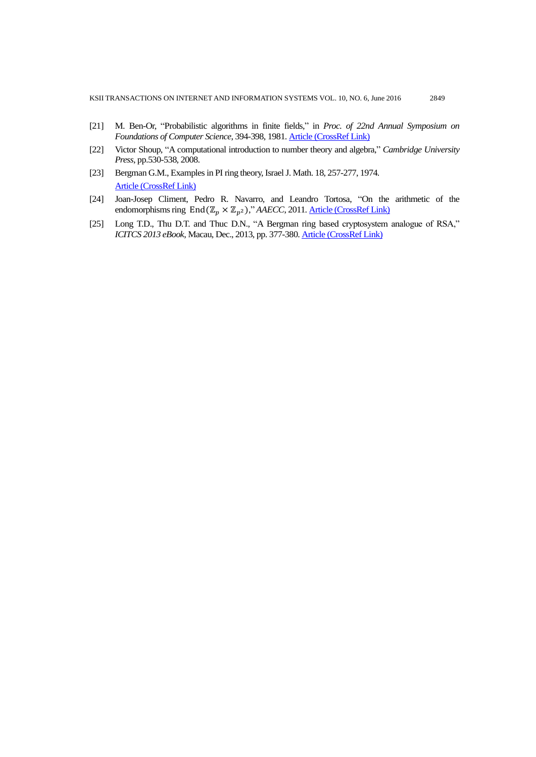- [21] M. Ben-Or, "Probabilistic algorithms in finite fields," in *Proc. of 22nd Annual Symposium on Foundations of Computer Science*, 394-398, 1981[. Article \(CrossRef Link\)](http://dx.doi.org/10.1109/sfcs.1981.37)
- [22] Victor Shoup, "A computational introduction to number theory and algebra," *Cambridge University Press*, pp.530-538, 2008.
- [23] Bergman G.M., Examples in PI ring theory, Israel J. Math. 18, 257-277, 1974. [Article \(CrossRef Link\)](http://dx.doi.org/10.1007/BF02757282)
- [24] Joan-Josep Climent, Pedro R. Navarro, and Leandro Tortosa, "On the arithmetic of the endomorphisms ring  $End(\mathbb{Z}_p \times \mathbb{Z}_{n^2})$ ," *AAECC*, 2011. <u>Article (CrossRef Link)</u>
- [25] Long T.D., Thu D.T. and Thuc D.N., "A Bergman ring based cryptosystem analogue of RSA," *ICITCS 2013 eBook*, Macau, Dec., 2013, pp. 377-380. **Article (CrossRef Link)**